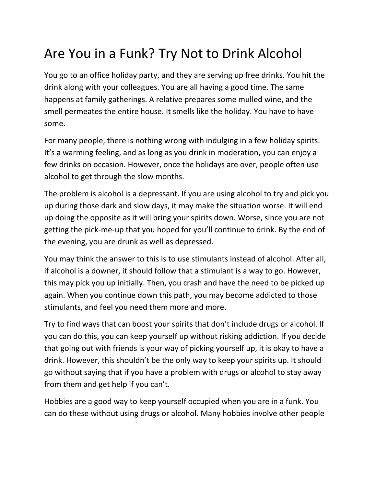## Are You in a Funk? Try Not to Drink Alcohol

You go to an office holiday party, and they are serving up free drinks. You hit the drink along with your colleagues. You are all having a good time. The same happens at family gatherings. A relative prepares some mulled wine, and the smell permeates the entire house. It smells like the holiday. You have to have some.

For many people, there is nothing wrong with indulging in a few holiday spirits. It's a warming feeling, and as long as you drink in moderation, you can enjoy a few drinks on occasion. However, once the holidays are over, people often use alcohol to get through the slow months.

The problem is alcohol is a depressant. If you are using alcohol to try and pick you up during those dark and slow days, it may make the situation worse. It will end up doing the opposite as it will bring your spirits down. Worse, since you are not getting the pick-me-up that you hoped for you'll continue to drink. By the end of the evening, you are drunk as well as depressed.

You may think the answer to this is to use stimulants instead of alcohol. After all, if alcohol is a downer, it should follow that a stimulant is a way to go. However, this may pick you up initially. Then, you crash and have the need to be picked up again. When you continue down this path, you may become addicted to those stimulants, and feel you need them more and more.

Try to find ways that can boost your spirits that don't include drugs or alcohol. If you can do this, you can keep yourself up without risking addiction. If you decide that going out with friends is your way of picking yourself up, it is okay to have a drink. However, this shouldn't be the only way to keep your spirits up. It should go without saying that if you have a problem with drugs or alcohol to stay away from them and get help if you can't.

Hobbies are a good way to keep yourself occupied when you are in a funk. You can do these without using drugs or alcohol. Many hobbies involve other people